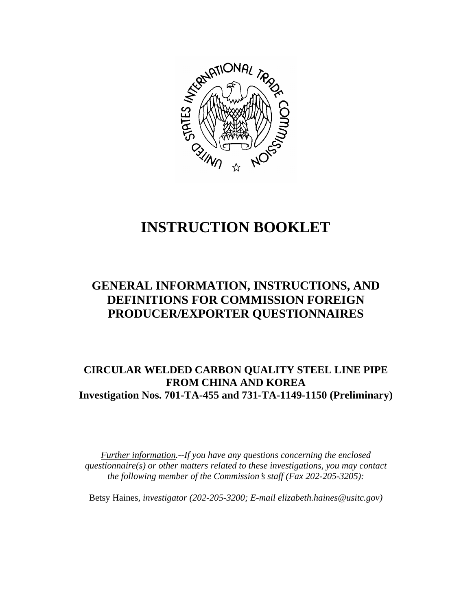

# **INSTRUCTION BOOKLET**

# **GENERAL INFORMATION, INSTRUCTIONS, AND DEFINITIONS FOR COMMISSION FOREIGN PRODUCER/EXPORTER QUESTIONNAIRES**

# **CIRCULAR WELDED CARBON QUALITY STEEL LINE PIPE FROM CHINA AND KOREA Investigation Nos. 701-TA-455 and 731-TA-1149-1150 (Preliminary)**

*Further information.--If you have any questions concerning the enclosed questionnaire(s) or other matters related to these investigations, you may contact the following member of the Commission*=*s staff (Fax 202-205-3205):* 

Betsy Haines*, investigator (202-205-3200; E-mail elizabeth.haines@usitc.gov)*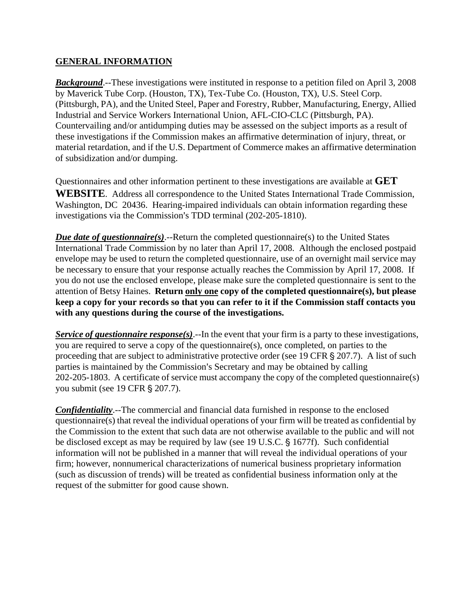#### **GENERAL INFORMATION**

*Background*.--These investigations were instituted in response to a petition filed on April 3, 2008 by Maverick Tube Corp. (Houston, TX), Tex-Tube Co. (Houston, TX), U.S. Steel Corp. (Pittsburgh, PA), and the United Steel, Paper and Forestry, Rubber, Manufacturing, Energy, Allied Industrial and Service Workers International Union, AFL-CIO-CLC (Pittsburgh, PA). Countervailing and/or antidumping duties may be assessed on the subject imports as a result of these investigations if the Commission makes an affirmative determination of injury, threat, or material retardation, and if the U.S. Department of Commerce makes an affirmative determination of subsidization and/or dumping.

Questionnaires and other information pertinent to these investigations are available at **GET WEBSITE**. Address all correspondence to the United States International Trade Commission, Washington, DC 20436. Hearing-impaired individuals can obtain information regarding these investigations via the Commission's TDD terminal (202-205-1810).

*Due date of questionnaire(s)*.--Return the completed questionnaire(s) to the United States International Trade Commission by no later than April 17, 2008. Although the enclosed postpaid envelope may be used to return the completed questionnaire, use of an overnight mail service may be necessary to ensure that your response actually reaches the Commission by April 17, 2008. If you do not use the enclosed envelope, please make sure the completed questionnaire is sent to the attention of Betsy Haines. **Return only one copy of the completed questionnaire(s), but please keep a copy for your records so that you can refer to it if the Commission staff contacts you with any questions during the course of the investigations.**

*Service of questionnaire response(s)*.--In the event that your firm is a party to these investigations, you are required to serve a copy of the questionnaire(s), once completed, on parties to the proceeding that are subject to administrative protective order (see  $\overline{19}$  CFR  $\overline{S}$  207.7). A list of such parties is maintained by the Commission's Secretary and may be obtained by calling 202-205-1803. A certificate of service must accompany the copy of the completed questionnaire(s) you submit (see 19 CFR § 207.7).

*Confidentiality*.--The commercial and financial data furnished in response to the enclosed questionnaire(s) that reveal the individual operations of your firm will be treated as confidential by the Commission to the extent that such data are not otherwise available to the public and will not be disclosed except as may be required by law (see 19 U.S.C. § 1677f). Such confidential information will not be published in a manner that will reveal the individual operations of your firm; however, nonnumerical characterizations of numerical business proprietary information (such as discussion of trends) will be treated as confidential business information only at the request of the submitter for good cause shown.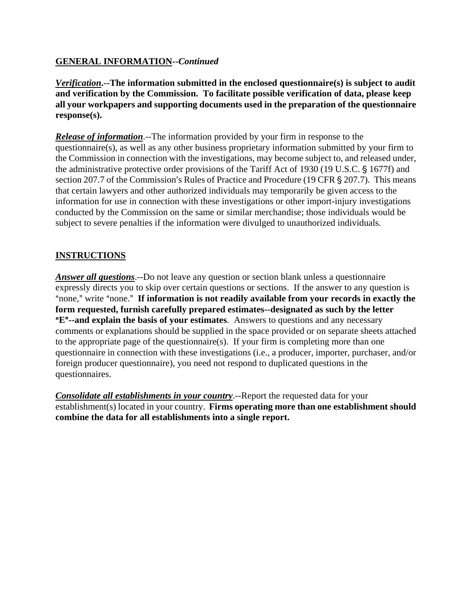# **GENERAL INFORMATION--***Continued*

*Verification***.--The information submitted in the enclosed questionnaire(s) is subject to audit and verification by the Commission. To facilitate possible verification of data, please keep all your workpapers and supporting documents used in the preparation of the questionnaire response(s).**

*Release of information*.--The information provided by your firm in response to the questionnaire(s), as well as any other business proprietary information submitted by your firm to the Commission in connection with the investigations, may become subject to, and released under, the administrative protective order provisions of the Tariff Act of 1930 (19 U.S.C. § 1677f) and section 207.7 of the Commission's Rules of Practice and Procedure (19 CFR § 207.7). This means that certain lawyers and other authorized individuals may temporarily be given access to the information for use in connection with these investigations or other import-injury investigations conducted by the Commission on the same or similar merchandise; those individuals would be subject to severe penalties if the information were divulged to unauthorized individuals.

# **INSTRUCTIONS**

*Answer all questions*.--Do not leave any question or section blank unless a questionnaire expressly directs you to skip over certain questions or sections. If the answer to any question is "none," write "none." If information is not readily available from your records in exactly the **form requested, furnish carefully prepared estimates--designated as such by the letter E<sup>"</sup>--and explain the basis of your estimates**. Answers to questions and any necessary comments or explanations should be supplied in the space provided or on separate sheets attached to the appropriate page of the questionnaire(s). If your firm is completing more than one questionnaire in connection with these investigations (i.e., a producer, importer, purchaser, and/or foreign producer questionnaire), you need not respond to duplicated questions in the questionnaires.

*Consolidate all establishments in your country*.--Report the requested data for your establishment(s) located in your country. **Firms operating more than one establishment should combine the data for all establishments into a single report.**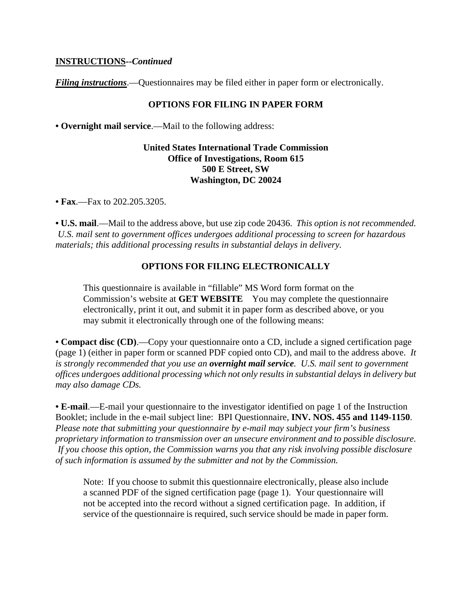#### **INSTRUCTIONS--***Continued*

*Filing instructions*.—Questionnaires may be filed either in paper form or electronically.

#### **OPTIONS FOR FILING IN PAPER FORM**

**• Overnight mail service**.—Mail to the following address:

#### **United States International Trade Commission Office of Investigations, Room 615 500 E Street, SW Washington, DC 20024**

**• Fax**.—Fax to 202.205.3205.

**• U.S. mail**.—Mail to the address above, but use zip code 20436. *This option is not recommended. U.S. mail sent to government offices undergoes additional processing to screen for hazardous materials; this additional processing results in substantial delays in delivery.* 

#### **OPTIONS FOR FILING ELECTRONICALLY**

This questionnaire is available in "fillable" MS Word form format on the Commission's website at **GET WEBSITE** You may complete the questionnaire electronically, print it out, and submit it in paper form as described above, or you may submit it electronically through one of the following means:

**• Compact disc (CD)**.—Copy your questionnaire onto a CD, include a signed certification page (page 1) (either in paper form or scanned PDF copied onto CD), and mail to the address above. *It is strongly recommended that you use an overnight mail service. U.S. mail sent to government offices undergoes additional processing which not only results in substantial delays in delivery but may also damage CDs.* 

**• E-mail**.—E-mail your questionnaire to the investigator identified on page 1 of the Instruction Booklet; include in the e-mail subject line: BPI Questionnaire, **INV. NOS. 455 and 1149-1150**. *Please note that submitting your questionnaire by e-mail may subject your firm's business proprietary information to transmission over an unsecure environment and to possible disclosure. If you choose this option, the Commission warns you that any risk involving possible disclosure of such information is assumed by the submitter and not by the Commission.* 

Note: If you choose to submit this questionnaire electronically, please also include a scanned PDF of the signed certification page (page 1). Your questionnaire will not be accepted into the record without a signed certification page. In addition, if service of the questionnaire is required, such service should be made in paper form.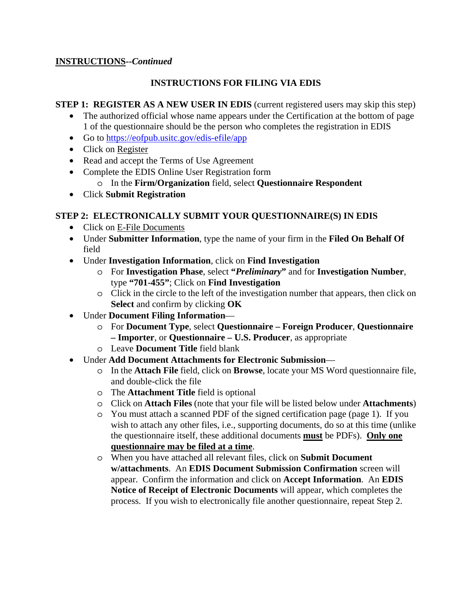# **INSTRUCTIONS--***Continued*

# **INSTRUCTIONS FOR FILING VIA EDIS**

#### **STEP 1: REGISTER AS A NEW USER IN EDIS** (current registered users may skip this step)

- The authorized official whose name appears under the Certification at the bottom of page 1 of the questionnaire should be the person who completes the registration in EDIS
- Go to https://eofpub.usitc.gov/edis-efile/app
- Click on Register
- Read and accept the Terms of Use Agreement
- Complete the EDIS Online User Registration form
	- o In the **Firm/Organization** field, select **Questionnaire Respondent**
- Click **Submit Registration**

## **STEP 2: ELECTRONICALLY SUBMIT YOUR QUESTIONNAIRE(S) IN EDIS**

- Click on E-File Documents
- Under **Submitter Information**, type the name of your firm in the **Filed On Behalf Of** field
- Under **Investigation Information**, click on **Find Investigation**
	- o For **Investigation Phase**, select **"***Preliminary***"** and for **Investigation Number**, type **"701-455"**; Click on **Find Investigation**
	- o Click in the circle to the left of the investigation number that appears, then click on **Select** and confirm by clicking **OK**
- Under **Document Filing Information**
	- o For **Document Type**, select **Questionnaire Foreign Producer**, **Questionnaire – Importer**, or **Questionnaire – U.S. Producer**, as appropriate
	- o Leave **Document Title** field blank
- Under **Add Document Attachments for Electronic Submission**
	- o In the **Attach File** field, click on **Browse**, locate your MS Word questionnaire file, and double-click the file
	- o The **Attachment Title** field is optional
	- o Click on **Attach Files** (note that your file will be listed below under **Attachments**)
	- o You must attach a scanned PDF of the signed certification page (page 1). If you wish to attach any other files, i.e., supporting documents, do so at this time (unlike the questionnaire itself, these additional documents **must** be PDFs). **Only one questionnaire may be filed at a time**.
	- o When you have attached all relevant files, click on **Submit Document w/attachments**. An **EDIS Document Submission Confirmation** screen will appear. Confirm the information and click on **Accept Information**. An **EDIS Notice of Receipt of Electronic Documents** will appear, which completes the process. If you wish to electronically file another questionnaire, repeat Step 2.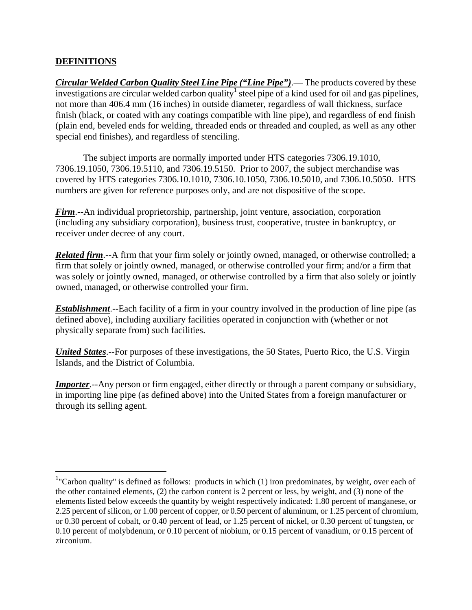# **DEFINITIONS**

<u>.</u>

*Circular Welded Carbon Quality Steel Line Pipe ("Line Pipe")*.— The products covered by these investigations are circular welded carbon quality<sup>1</sup> steel pipe of a kind used for oil and gas pipelines, not more than 406.4 mm (16 inches) in outside diameter, regardless of wall thickness, surface finish (black, or coated with any coatings compatible with line pipe), and regardless of end finish (plain end, beveled ends for welding, threaded ends or threaded and coupled, as well as any other special end finishes), and regardless of stenciling.

 The subject imports are normally imported under HTS categories 7306.19.1010, 7306.19.1050, 7306.19.5110, and 7306.19.5150. Prior to 2007, the subject merchandise was covered by HTS categories 7306.10.1010, 7306.10.1050, 7306.10.5010, and 7306.10.5050. HTS numbers are given for reference purposes only, and are not dispositive of the scope.

*Firm*.--An individual proprietorship, partnership, joint venture, association, corporation (including any subsidiary corporation), business trust, cooperative, trustee in bankruptcy, or receiver under decree of any court.

*Related firm*.--A firm that your firm solely or jointly owned, managed, or otherwise controlled; a firm that solely or jointly owned, managed, or otherwise controlled your firm; and/or a firm that was solely or jointly owned, managed, or otherwise controlled by a firm that also solely or jointly owned, managed, or otherwise controlled your firm.

*Establishment*.--Each facility of a firm in your country involved in the production of line pipe (as defined above), including auxiliary facilities operated in conjunction with (whether or not physically separate from) such facilities.

*United States*.--For purposes of these investigations, the 50 States, Puerto Rico, the U.S. Virgin Islands, and the District of Columbia.

*Importer*.--Any person or firm engaged, either directly or through a parent company or subsidiary, in importing line pipe (as defined above) into the United States from a foreign manufacturer or through its selling agent.

 $1$ "Carbon quality" is defined as follows: products in which (1) iron predominates, by weight, over each of the other contained elements, (2) the carbon content is 2 percent or less, by weight, and (3) none of the elements listed below exceeds the quantity by weight respectively indicated: 1.80 percent of manganese, or 2.25 percent of silicon, or 1.00 percent of copper, or 0.50 percent of aluminum, or 1.25 percent of chromium, or 0.30 percent of cobalt, or 0.40 percent of lead, or 1.25 percent of nickel, or 0.30 percent of tungsten, or 0.10 percent of molybdenum, or 0.10 percent of niobium, or 0.15 percent of vanadium, or 0.15 percent of zirconium.